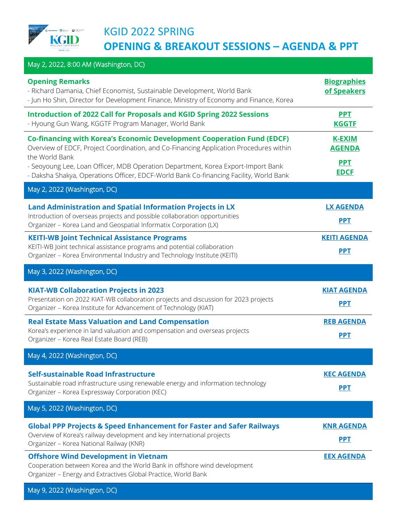

## KGID 2022 SPRING **OPENING & BREAKOUT SESSIONS – AGENDA & PPT**

| May 2, 2022, 8:00 AM (Washington, DC)                                                                                                                                                                                                                                                                                                                                   |                                                             |
|-------------------------------------------------------------------------------------------------------------------------------------------------------------------------------------------------------------------------------------------------------------------------------------------------------------------------------------------------------------------------|-------------------------------------------------------------|
| <b>Opening Remarks</b><br>- Richard Damania, Chief Economist, Sustainable Development, World Bank<br>- Jun Ho Shin, Director for Development Finance, Ministry of Economy and Finance, Korea                                                                                                                                                                            | <b>Biographies</b><br>of Speakers                           |
| <b>Introduction of 2022 Call for Proposals and KGID Spring 2022 Sessions</b><br>- Hyoung Gun Wang, KGGTF Program Manager, World Bank                                                                                                                                                                                                                                    | <b>PPT</b><br><b>KGGTF</b>                                  |
| <b>Co-financing with Korea's Economic Development Cooperation Fund (EDCF)</b><br>Overview of EDCF, Project Coordination, and Co-Financing Application Procedures within<br>the World Bank<br>- Seoyoung Lee, Loan Officer, MDB Operation Department, Korea Export-Import Bank<br>- Daksha Shakya, Operations Officer, EDCF-World Bank Co-financing Facility, World Bank | <b>K-EXIM</b><br><b>AGENDA</b><br><b>PPT</b><br><b>EDCF</b> |
| May 2, 2022 (Washington, DC)                                                                                                                                                                                                                                                                                                                                            |                                                             |
| Land Administration and Spatial Information Projects in LX<br>Introduction of overseas projects and possible collaboration opportunities<br>Organizer - Korea Land and Geospatial Informatix Corporation (LX)                                                                                                                                                           | <b>LX AGENDA</b><br><b>PPT</b>                              |
| <b>KEITI-WB Joint Technical Assistance Programs</b><br>KEITI-WB Joint technical assistance programs and potential collaboration<br>Organizer - Korea Environmental Industry and Technology Institute (KEITI)                                                                                                                                                            | <b>KEITI AGENDA</b><br><b>PPT</b>                           |
| May 3, 2022 (Washington, DC)                                                                                                                                                                                                                                                                                                                                            |                                                             |
| <b>KIAT-WB Collaboration Projects in 2023</b><br>Presentation on 2022 KIAT-WB collaboration projects and discussion for 2023 projects<br>Organizer - Korea Institute for Advancement of Technology (KIAT)                                                                                                                                                               | <b>KIAT AGENDA</b><br><b>PPT</b>                            |
| <b>Real Estate Mass Valuation and Land Compensation</b><br>Korea's experience in land valuation and compensation and overseas projects<br>Organizer - Korea Real Estate Board (REB)                                                                                                                                                                                     | <b>REB AGENDA</b><br>PPT                                    |
| May 4, 2022 (Washington, DC)                                                                                                                                                                                                                                                                                                                                            |                                                             |
| Self-sustainable Road Infrastructure<br>Sustainable road infrastructure using renewable energy and information technology<br>Organizer - Korea Expressway Corporation (KEC)                                                                                                                                                                                             | <b>KEC AGENDA</b><br><b>PPT</b>                             |
| May 5, 2022 (Washington, DC)                                                                                                                                                                                                                                                                                                                                            |                                                             |
| <b>Global PPP Projects &amp; Speed Enhancement for Faster and Safer Railways</b><br>Overview of Korea's railway development and key international projects<br>Organizer - Korea National Railway (KNR)                                                                                                                                                                  | <b>KNR AGENDA</b><br><b>PPT</b>                             |
| <b>Offshore Wind Development in Vietnam</b><br>Cooperation between Korea and the World Bank in offshore wind development<br>Organizer - Energy and Extractives Global Practice, World Bank                                                                                                                                                                              | <b>EEX AGENDA</b>                                           |

May 9, 2022 (Washington, DC)